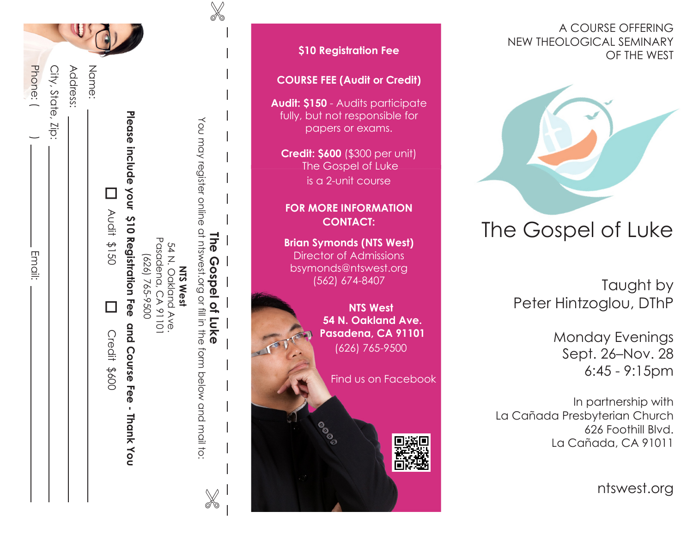| Phone: (<br>. Email: | City, State, Zip: | Address: | Name: | D<br>201\$190<br>120 | Please include your \$10 Registrat | (626) |
|----------------------|-------------------|----------|-------|----------------------|------------------------------------|-------|

**Email:** 

| Please include your 210 Registration ree and Course Fee - Thank you<br>You may register online at hiswest.org or fill in the form below and mail to:<br>The Gospel of Luke<br>Pasadena, CA 91101<br>54 N. Oakland Ave.<br>0056-592 (929)<br><b>NTS West</b><br>X | Credit \$600 | $\Box$ | <b>D</b><br>Noti \$150 | Address:<br>Name: |
|------------------------------------------------------------------------------------------------------------------------------------------------------------------------------------------------------------------------------------------------------------------|--------------|--------|------------------------|-------------------|
|                                                                                                                                                                                                                                                                  |              |        |                        |                   |
|                                                                                                                                                                                                                                                                  |              |        |                        |                   |
|                                                                                                                                                                                                                                                                  |              |        |                        |                   |

 $\mathbb{X}$ 

# **\$10 Registration Fee COURSE FEE (Audit or Credit) Audit: \$150** - Audits participate fully, but not responsible for papers or exams. **Credit: \$600** (\$300 per unit) The Gospel of Luke is a 2-unit course **FOR MORE INFORMATION CONTACT: Brian Symonds (NTS West)** Director of Admissions bsymonds@ntswest.org (562) 674-8407  **NTS West 54 N. Oakland Ave. Pasadena, CA 91101** (626) 765-9500 Find us on Facebook

#### A COURSE OFFERING NEW THEOLOGICAL SEMINARY OF THE WEST



# The Gospel of Luke

Taught by Peter Hintzoglou, DThP

> Monday Evenings Sept. 26–Nov. 28 6:45 - 9:15pm

In partnership with La Cañada Presbyterian Church 626 Foothill Blvd. La Cañada, CA 91011

ntswest.org